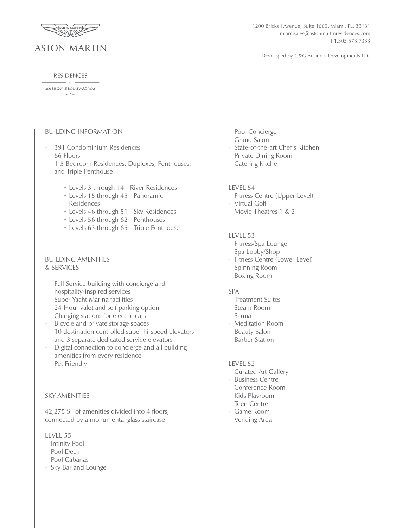

1200 Brickell Avenue, Suite 1660, Miami, FL, 33131 miamisales@astonmartinresidences.com +1.305.573.7333

Developed by G&G Business Developments LLC

#### **RESIDENCES**  $-$  at  $-$

300 BISCAYNE BOULEVARD WAY **MIAMI** 

## BUILDING INFORMATION

- 391 Condominium Residences
- 66 Floors
- 1-5 Bedroom Residences, Duplexes, Penthouses, and Triple Penthouse
- Levels 3 through 14 River Residences •
- Levels 15 through 45 Panoramic Residences
- Levels 46 through 51 Sky Residences •
- Levels 56 through 62 Penthouses •
- Levels 63 through 65 Triple Penthouse •

## BUILDING AMENITIES & SERVICES

- Full Service building with concierge and hospitality-inspired services
- Super Yacht Marina facilities
- 24-Hour valet and self parking option
- Charging stations for electric cars
- Bicycle and private storage spaces
- 10 destination controlled super hi-speed elevators and 3 separate dedicated service elevators
- Digital connection to concierge and all building amenities from every residence
- Pet Friendly

## SKY AMENITIES

42,275 SF of amenities divided into 4 floors, connected by a monumental glass staircase

## LEVEL 55

- Infinity Pool
- Pool Deck
- Pool Cabanas
- Sky Bar and Lounge
- Pool Concierge
- Grand Salon
- State-of-the-art Chef's Kitchen
- Private Dining Room
- Catering Kitchen

#### LEVEL 54

- Fitness Centre (Upper Level)
- Virtual Golf
- Movie Theatres 1 & 2

## LEVEL 53

- Fitness/Spa Lounge
- Spa Lobby/Shop
- Fitness Centre (Lower Level)
- Spinning Room
- Boxing Room

#### SPA

- Treatment Suites
- Steam Room
- Sauna
- Meditation Room
- Beauty Salon
- Barber Station

#### LEVEL 52

- Curated Art Gallery
- Business Centre
- Conference Room
- Kids Playroom
- Teen Centre
- Game Room
- Vending Area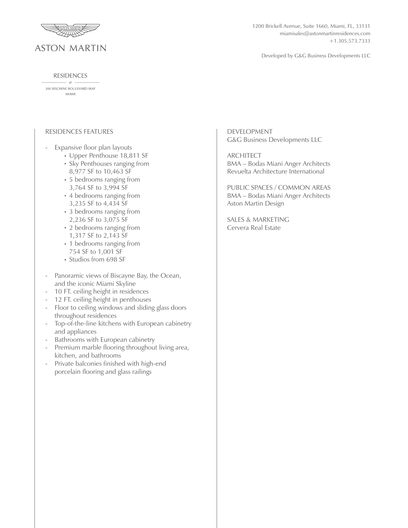

#### **RESIDENCES**

 $-at$ . 300 BISCAYNE BOULEVARD WAY **MIAMI** 

# RESIDENCES FEATURES

- Expansive floor plan layouts
- Upper Penthouse 18,811 SF •
- Sky Penthouses ranging from 8,977 SF to 10,463 SF
- 5 bedrooms ranging from 3,764 SF to 3,994 SF
- 4 bedrooms ranging from 3,235 SF to 4,434 SF
- 3 bedrooms ranging from 2,236 SF to 3,075 SF
- 2 bedrooms ranging from 1,317 SF to 2,143 SF
- 1 bedrooms ranging from 754 SF to 1,001 SF
- Studios from 698 SF
- Panoramic views of Biscayne Bay, the Ocean, and the iconic Miami Skyline
- 10 FT. ceiling height in residences
- 12 FT. ceiling height in penthouses
- Floor to ceiling windows and sliding glass doors throughout residences
- Top-of-the-line kitchens with European cabinetry and appliances
- Bathrooms with European cabinetry
- Premium marble flooring throughout living area, kitchen, and bathrooms
- Private balconies finished with high-end porcelain flooring and glass railings

1200 Brickell Avenue, Suite 1660, Miami, FL, 33131 miamisales@astonmartinresidences.com +1.305.573.7333

Developed by G&G Business Developments LLC

DEVELOPMENT G&G Business Developments LLC

ARCHITECT BMA – Bodas Miani Anger Architects Revuelta Architecture International

PUBLIC SPACES / COMMON AREAS BMA – Bodas Miani Anger Architects Aston Martin Design

SALES & MARKETING Cervera Real Estate